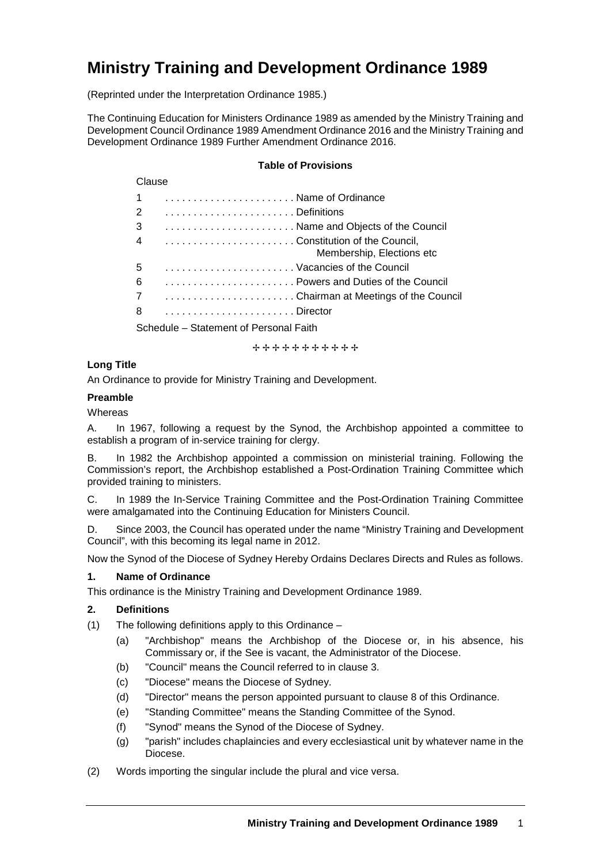# **Ministry Training and Development Ordinance 1989**

(Reprinted under the Interpretation Ordinance 1985.)

The Continuing Education for Ministers Ordinance 1989 as amended by the Ministry Training and Development Council Ordinance 1989 Amendment Ordinance 2016 and the Ministry Training and Development Ordinance 1989 Further Amendment Ordinance 2016.

#### **Table of Provisions**

| Clause                                                                       |
|------------------------------------------------------------------------------|
| $\overline{1}$<br>Name of Ordinance                                          |
| 2                                                                            |
| 3<br>Name and Objects of the Council                                         |
| Constitution of the Council,<br>$\overline{4}$<br>Membership, Elections etc. |
| 5<br>Vacancies of the Council                                                |
| 6<br>Powers and Duties of the Council                                        |
| Chairman at Meetings of the Council<br>$\overline{7}$                        |
| 8                                                                            |
| Coheadile Chatement of Devenuel Foith                                        |

Schedule – Statement of Personal Faith

+++++++++++

# **Long Title**

An Ordinance to provide for Ministry Training and Development.

# **Preamble**

**Whereas** 

A. In 1967, following a request by the Synod, the Archbishop appointed a committee to establish a program of in-service training for clergy.

B. In 1982 the Archbishop appointed a commission on ministerial training. Following the Commission's report, the Archbishop established a Post-Ordination Training Committee which provided training to ministers.

C. In 1989 the In-Service Training Committee and the Post-Ordination Training Committee were amalgamated into the Continuing Education for Ministers Council.

D. Since 2003, the Council has operated under the name "Ministry Training and Development Council", with this becoming its legal name in 2012.

Now the Synod of the Diocese of Sydney Hereby Ordains Declares Directs and Rules as follows.

## **1. Name of Ordinance**

This ordinance is the Ministry Training and Development Ordinance 1989.

## **2. Definitions**

(1) The following definitions apply to this Ordinance –

- (a) "Archbishop" means the Archbishop of the Diocese or, in his absence, his Commissary or, if the See is vacant, the Administrator of the Diocese.
- (b) "Council" means the Council referred to in clause 3.
- (c) "Diocese" means the Diocese of Sydney.
- (d) "Director" means the person appointed pursuant to clause 8 of this Ordinance.
- (e) "Standing Committee" means the Standing Committee of the Synod.
- (f) "Synod" means the Synod of the Diocese of Sydney.
- (g) "parish" includes chaplaincies and every ecclesiastical unit by whatever name in the Diocese.
- (2) Words importing the singular include the plural and vice versa.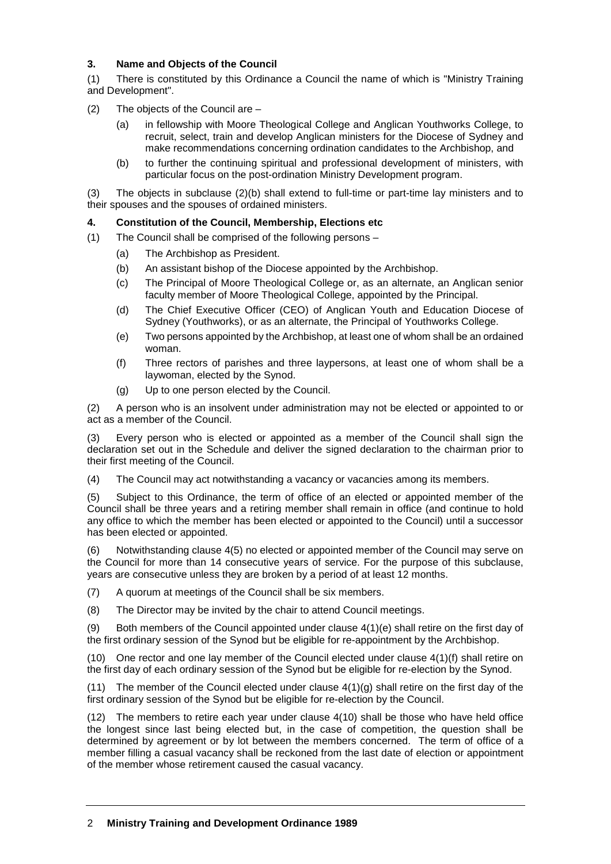# **3. Name and Objects of the Council**

(1) There is constituted by this Ordinance a Council the name of which is "Ministry Training and Development".

(2) The objects of the Council are –

- (a) in fellowship with Moore Theological College and Anglican Youthworks College, to recruit, select, train and develop Anglican ministers for the Diocese of Sydney and make recommendations concerning ordination candidates to the Archbishop, and
- (b) to further the continuing spiritual and professional development of ministers, with particular focus on the post-ordination Ministry Development program.

(3) The objects in subclause (2)(b) shall extend to full-time or part-time lay ministers and to their spouses and the spouses of ordained ministers.

# **4. Constitution of the Council, Membership, Elections etc**

- (1) The Council shall be comprised of the following persons
	- (a) The Archbishop as President.
	- (b) An assistant bishop of the Diocese appointed by the Archbishop.
	- (c) The Principal of Moore Theological College or, as an alternate, an Anglican senior faculty member of Moore Theological College, appointed by the Principal.
	- (d) The Chief Executive Officer (CEO) of Anglican Youth and Education Diocese of Sydney (Youthworks), or as an alternate, the Principal of Youthworks College.
	- (e) Two persons appointed by the Archbishop, at least one of whom shall be an ordained woman.
	- (f) Three rectors of parishes and three laypersons, at least one of whom shall be a laywoman, elected by the Synod.
	- (g) Up to one person elected by the Council.

(2) A person who is an insolvent under administration may not be elected or appointed to or act as a member of the Council.

(3) Every person who is elected or appointed as a member of the Council shall sign the declaration set out in the Schedule and deliver the signed declaration to the chairman prior to their first meeting of the Council.

(4) The Council may act notwithstanding a vacancy or vacancies among its members.

(5) Subject to this Ordinance, the term of office of an elected or appointed member of the Council shall be three years and a retiring member shall remain in office (and continue to hold any office to which the member has been elected or appointed to the Council) until a successor has been elected or appointed.

(6) Notwithstanding clause 4(5) no elected or appointed member of the Council may serve on the Council for more than 14 consecutive years of service. For the purpose of this subclause, years are consecutive unless they are broken by a period of at least 12 months.

- (7) A quorum at meetings of the Council shall be six members.
- (8) The Director may be invited by the chair to attend Council meetings.

(9) Both members of the Council appointed under clause  $4(1)(e)$  shall retire on the first day of the first ordinary session of the Synod but be eligible for re-appointment by the Archbishop.

(10) One rector and one lay member of the Council elected under clause 4(1)(f) shall retire on the first day of each ordinary session of the Synod but be eligible for re-election by the Synod.

(11) The member of the Council elected under clause  $4(1)(q)$  shall retire on the first day of the first ordinary session of the Synod but be eligible for re-election by the Council.

(12) The members to retire each year under clause 4(10) shall be those who have held office the longest since last being elected but, in the case of competition, the question shall be determined by agreement or by lot between the members concerned. The term of office of a member filling a casual vacancy shall be reckoned from the last date of election or appointment of the member whose retirement caused the casual vacancy.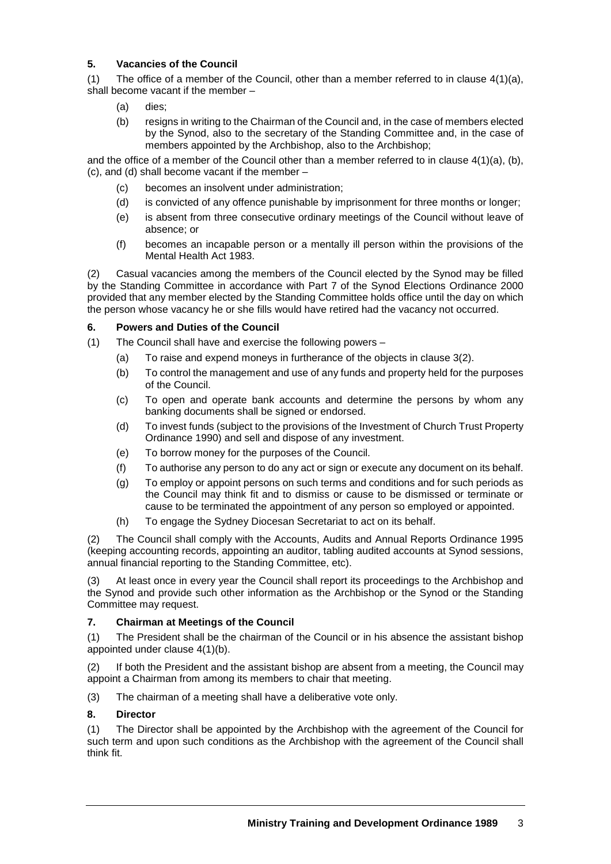# **5. Vacancies of the Council**

(1) The office of a member of the Council, other than a member referred to in clause  $4(1)(a)$ , shall become vacant if the member –

- (a) dies;
- (b) resigns in writing to the Chairman of the Council and, in the case of members elected by the Synod, also to the secretary of the Standing Committee and, in the case of members appointed by the Archbishop, also to the Archbishop;

and the office of a member of the Council other than a member referred to in clause  $4(1)(a)$ , (b), (c), and (d) shall become vacant if the member –

- (c) becomes an insolvent under administration;
- (d) is convicted of any offence punishable by imprisonment for three months or longer;
- (e) is absent from three consecutive ordinary meetings of the Council without leave of absence; or
- (f) becomes an incapable person or a mentally ill person within the provisions of the Mental Health Act 1983.

(2) Casual vacancies among the members of the Council elected by the Synod may be filled by the Standing Committee in accordance with Part 7 of the Synod Elections Ordinance 2000 provided that any member elected by the Standing Committee holds office until the day on which the person whose vacancy he or she fills would have retired had the vacancy not occurred.

## **6. Powers and Duties of the Council**

- (1) The Council shall have and exercise the following powers
	- (a) To raise and expend moneys in furtherance of the objects in clause 3(2).
	- (b) To control the management and use of any funds and property held for the purposes of the Council.
	- (c) To open and operate bank accounts and determine the persons by whom any banking documents shall be signed or endorsed.
	- (d) To invest funds (subject to the provisions of the Investment of Church Trust Property Ordinance 1990) and sell and dispose of any investment.
	- (e) To borrow money for the purposes of the Council.
	- (f) To authorise any person to do any act or sign or execute any document on its behalf.
	- (g) To employ or appoint persons on such terms and conditions and for such periods as the Council may think fit and to dismiss or cause to be dismissed or terminate or cause to be terminated the appointment of any person so employed or appointed.
	- (h) To engage the Sydney Diocesan Secretariat to act on its behalf.

(2) The Council shall comply with the Accounts, Audits and Annual Reports Ordinance 1995 (keeping accounting records, appointing an auditor, tabling audited accounts at Synod sessions, annual financial reporting to the Standing Committee, etc).

(3) At least once in every year the Council shall report its proceedings to the Archbishop and the Synod and provide such other information as the Archbishop or the Synod or the Standing Committee may request.

## **7. Chairman at Meetings of the Council**

(1) The President shall be the chairman of the Council or in his absence the assistant bishop appointed under clause 4(1)(b).

(2) If both the President and the assistant bishop are absent from a meeting, the Council may appoint a Chairman from among its members to chair that meeting.

(3) The chairman of a meeting shall have a deliberative vote only.

## **8. Director**

(1) The Director shall be appointed by the Archbishop with the agreement of the Council for such term and upon such conditions as the Archbishop with the agreement of the Council shall think fit.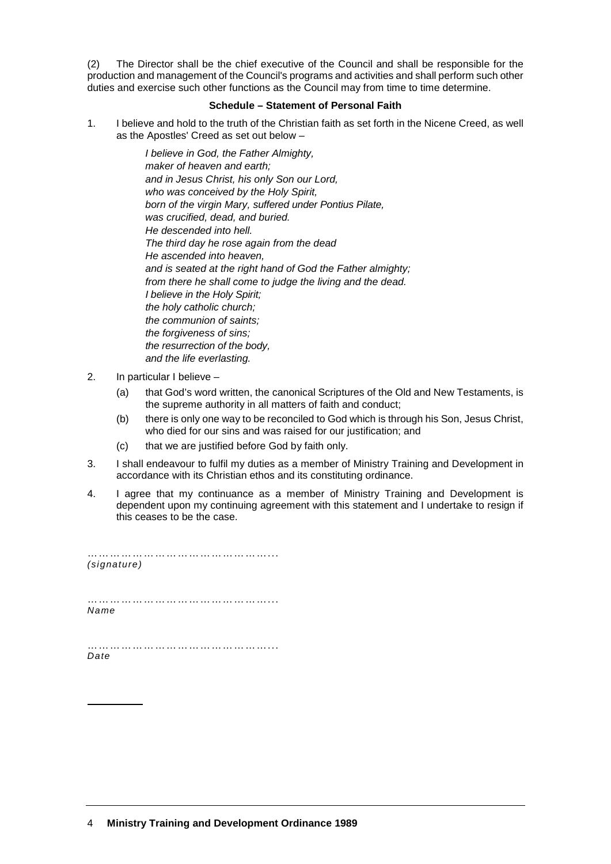(2) The Director shall be the chief executive of the Council and shall be responsible for the production and management of the Council's programs and activities and shall perform such other duties and exercise such other functions as the Council may from time to time determine.

#### **Schedule – Statement of Personal Faith**

1. I believe and hold to the truth of the Christian faith as set forth in the Nicene Creed, as well as the Apostles' Creed as set out below –

> *I believe in God, the Father Almighty, maker of heaven and earth; and in Jesus Christ, his only Son our Lord, who was conceived by the Holy Spirit, born of the virgin Mary, suffered under Pontius Pilate, was crucified, dead, and buried. He descended into hell. The third day he rose again from the dead He ascended into heaven, and is seated at the right hand of God the Father almighty; from there he shall come to judge the living and the dead. I believe in the Holy Spirit; the holy catholic church; the communion of saints; the forgiveness of sins; the resurrection of the body, and the life everlasting.*

- 2. In particular I believe
	- (a) that God's word written, the canonical Scriptures of the Old and New Testaments, is the supreme authority in all matters of faith and conduct;
	- (b) there is only one way to be reconciled to God which is through his Son, Jesus Christ, who died for our sins and was raised for our justification; and
	- (c) that we are justified before God by faith only.
- 3. I shall endeavour to fulfil my duties as a member of Ministry Training and Development in accordance with its Christian ethos and its constituting ordinance.
- 4. I agree that my continuance as a member of Ministry Training and Development is dependent upon my continuing agreement with this statement and I undertake to resign if this ceases to be the case.

……………………………………………… *(signature)*

…………………………………………... *Name*

…………………………………………………………… *Date*